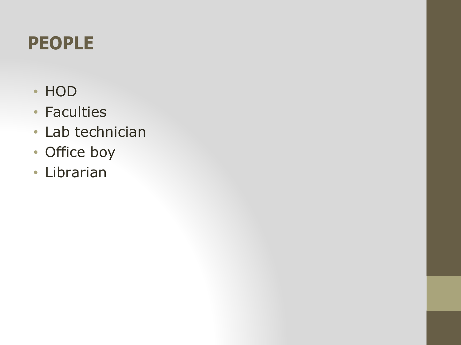## **PEOPLE**

- HOD
- Faculties
- Lab technician
- Office boy
- Librarian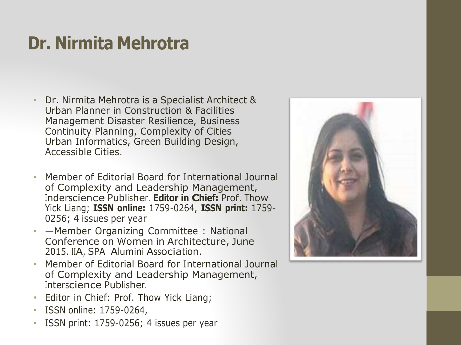## **Dr. Nirmita Mehrotra**

- Dr. Nirmita Mehrotra is a Specialist Architect & Urban Planner in Construction & Facilities Management Disaster Resilience, Business Continuity Planning, Complexity of Cities Urban Informatics, Green Building Design, Accessible Cities.
- Member of Editorial Board for International Journal of Complexity and Leadership Management, Inderscience Publisher. **Editor in Chief:** Prof. Thow Yick Liang; **ISSN online:** 1759-0264, **ISSN print:** 1759- 0256; 4 issues per year
- **Member Organizing Committee : National** Conference on Women in Architecture, June 2015. IIA, SPA Alumini Association.
- Member of Editorial Board for International Journal of Complexity and Leadership Management, Interscience Publisher.
- Editor in Chief: Prof. Thow Yick Liang;
- ISSN online: 1759-0264,
- ISSN print: 1759-0256; 4 issues per year

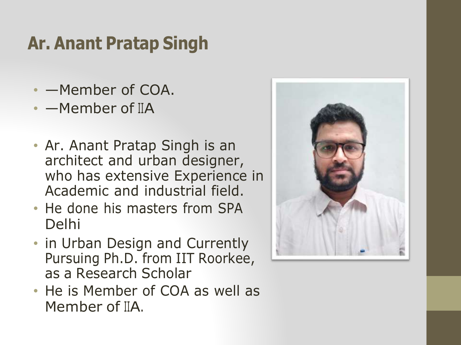## **Ar. Anant Pratap Singh**

- —Member of COA.
- - Member of IIA
- Ar. Anant Pratap Singh is an architect and urban designer, who has extensive Experience in Academic and industrial field.
- He done his masters from SPA Delhi
- in Urban Design and Currently Pursuing Ph.D. from IIT Roorkee, as a Research Scholar
- He is Member of COA as well as Member of IIA.